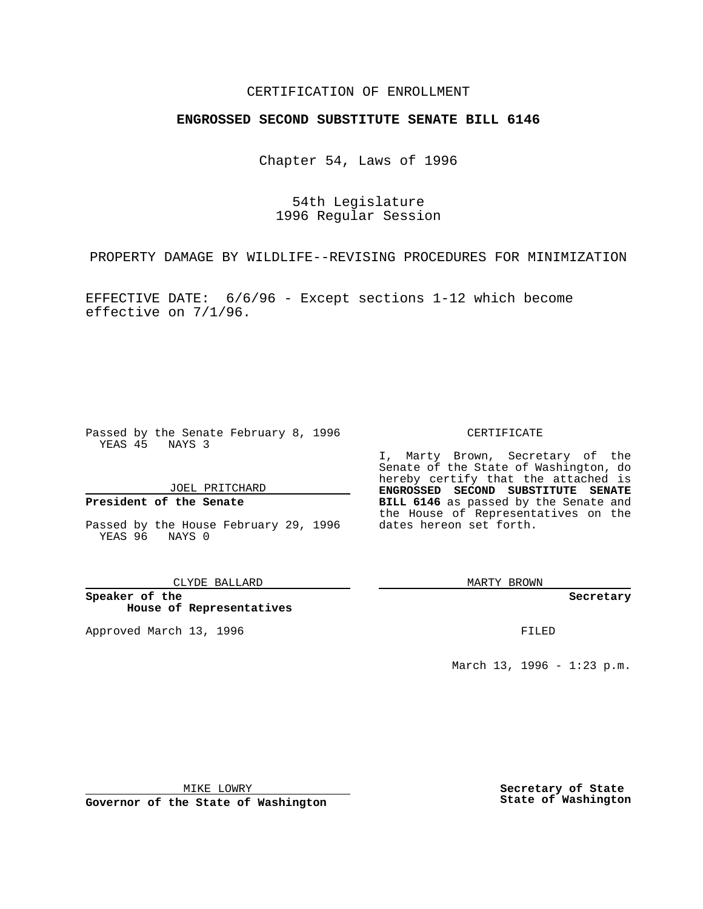## CERTIFICATION OF ENROLLMENT

# **ENGROSSED SECOND SUBSTITUTE SENATE BILL 6146**

Chapter 54, Laws of 1996

54th Legislature 1996 Regular Session

PROPERTY DAMAGE BY WILDLIFE--REVISING PROCEDURES FOR MINIMIZATION

EFFECTIVE DATE: 6/6/96 - Except sections 1-12 which become effective on 7/1/96.

Passed by the Senate February 8, 1996 YEAS 45 NAYS 3

JOEL PRITCHARD

### **President of the Senate**

Passed by the House February 29, 1996 dates hereon set forth. YEAS 96 NAYS 0

CLYDE BALLARD

**Speaker of the House of Representatives**

Approved March 13, 1996 **FILED** 

#### CERTIFICATE

I, Marty Brown, Secretary of the Senate of the State of Washington, do hereby certify that the attached is **ENGROSSED SECOND SUBSTITUTE SENATE BILL 6146** as passed by the Senate and the House of Representatives on the

MARTY BROWN

**Secretary**

March 13, 1996 - 1:23 p.m.

MIKE LOWRY

**Governor of the State of Washington**

**Secretary of State State of Washington**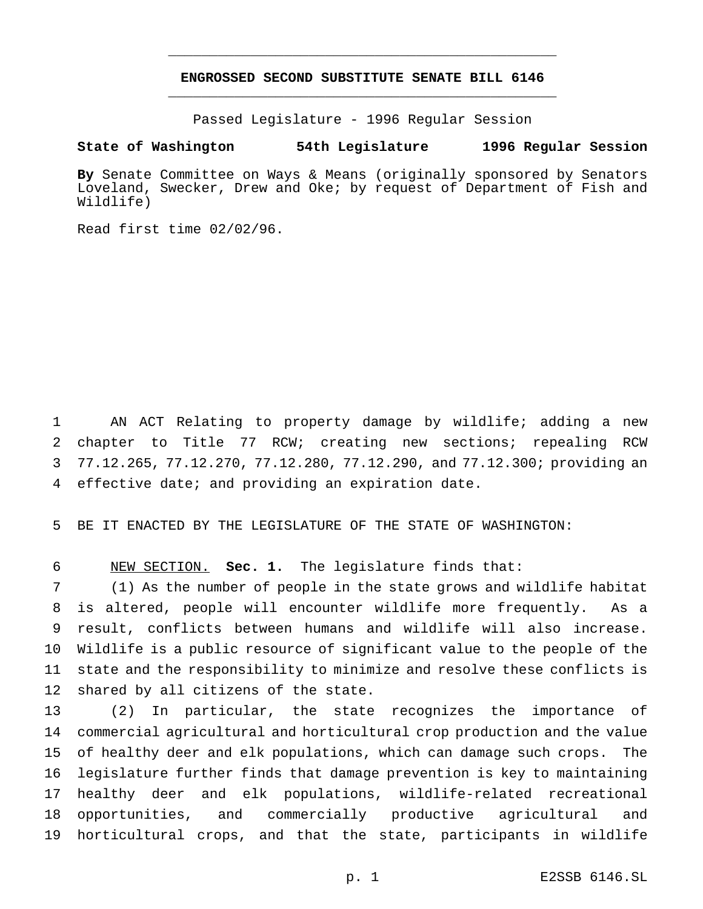## **ENGROSSED SECOND SUBSTITUTE SENATE BILL 6146** \_\_\_\_\_\_\_\_\_\_\_\_\_\_\_\_\_\_\_\_\_\_\_\_\_\_\_\_\_\_\_\_\_\_\_\_\_\_\_\_\_\_\_\_\_\_\_

\_\_\_\_\_\_\_\_\_\_\_\_\_\_\_\_\_\_\_\_\_\_\_\_\_\_\_\_\_\_\_\_\_\_\_\_\_\_\_\_\_\_\_\_\_\_\_

Passed Legislature - 1996 Regular Session

### **State of Washington 54th Legislature 1996 Regular Session**

**By** Senate Committee on Ways & Means (originally sponsored by Senators Loveland, Swecker, Drew and Oke; by request of Department of Fish and Wildlife)

Read first time 02/02/96.

 AN ACT Relating to property damage by wildlife; adding a new chapter to Title 77 RCW; creating new sections; repealing RCW 77.12.265, 77.12.270, 77.12.280, 77.12.290, and 77.12.300; providing an effective date; and providing an expiration date.

BE IT ENACTED BY THE LEGISLATURE OF THE STATE OF WASHINGTON:

NEW SECTION. **Sec. 1.** The legislature finds that:

 (1) As the number of people in the state grows and wildlife habitat is altered, people will encounter wildlife more frequently. As a result, conflicts between humans and wildlife will also increase. Wildlife is a public resource of significant value to the people of the state and the responsibility to minimize and resolve these conflicts is shared by all citizens of the state.

 (2) In particular, the state recognizes the importance of commercial agricultural and horticultural crop production and the value of healthy deer and elk populations, which can damage such crops. The legislature further finds that damage prevention is key to maintaining healthy deer and elk populations, wildlife-related recreational opportunities, and commercially productive agricultural and horticultural crops, and that the state, participants in wildlife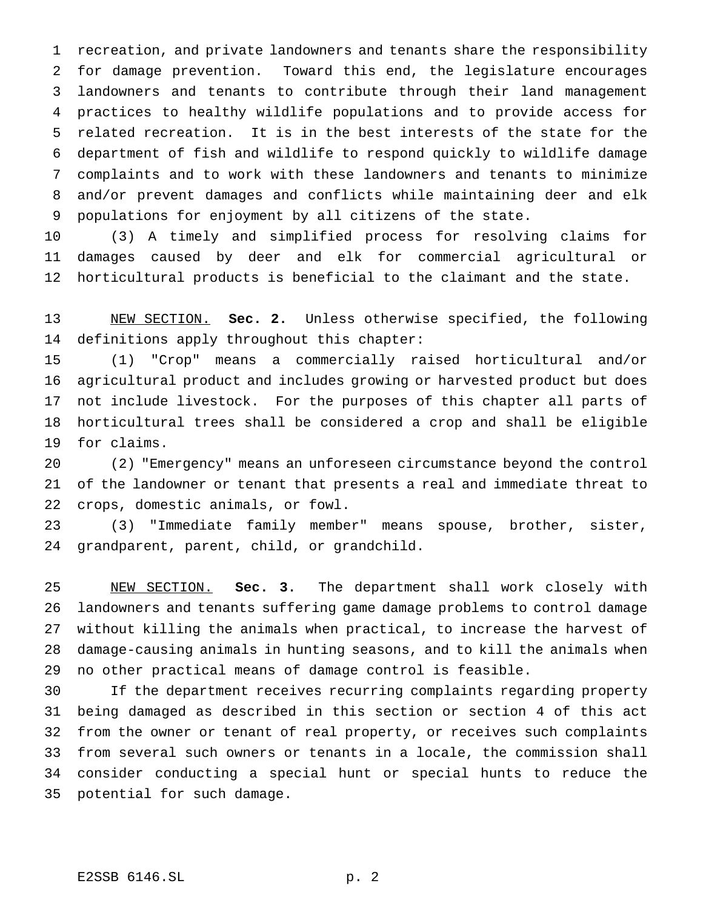recreation, and private landowners and tenants share the responsibility for damage prevention. Toward this end, the legislature encourages landowners and tenants to contribute through their land management practices to healthy wildlife populations and to provide access for related recreation. It is in the best interests of the state for the department of fish and wildlife to respond quickly to wildlife damage complaints and to work with these landowners and tenants to minimize and/or prevent damages and conflicts while maintaining deer and elk populations for enjoyment by all citizens of the state.

 (3) A timely and simplified process for resolving claims for damages caused by deer and elk for commercial agricultural or horticultural products is beneficial to the claimant and the state.

 NEW SECTION. **Sec. 2.** Unless otherwise specified, the following definitions apply throughout this chapter:

 (1) "Crop" means a commercially raised horticultural and/or agricultural product and includes growing or harvested product but does not include livestock. For the purposes of this chapter all parts of horticultural trees shall be considered a crop and shall be eligible for claims.

 (2) "Emergency" means an unforeseen circumstance beyond the control of the landowner or tenant that presents a real and immediate threat to crops, domestic animals, or fowl.

 (3) "Immediate family member" means spouse, brother, sister, grandparent, parent, child, or grandchild.

 NEW SECTION. **Sec. 3.** The department shall work closely with landowners and tenants suffering game damage problems to control damage without killing the animals when practical, to increase the harvest of damage-causing animals in hunting seasons, and to kill the animals when no other practical means of damage control is feasible.

 If the department receives recurring complaints regarding property being damaged as described in this section or section 4 of this act from the owner or tenant of real property, or receives such complaints from several such owners or tenants in a locale, the commission shall consider conducting a special hunt or special hunts to reduce the potential for such damage.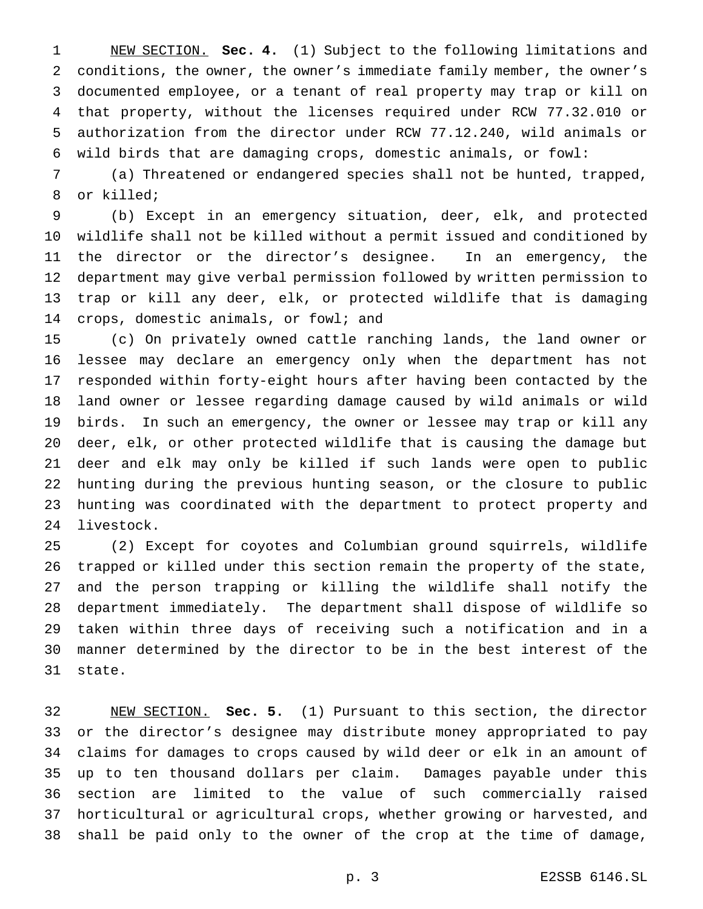NEW SECTION. **Sec. 4.** (1) Subject to the following limitations and conditions, the owner, the owner's immediate family member, the owner's documented employee, or a tenant of real property may trap or kill on that property, without the licenses required under RCW 77.32.010 or authorization from the director under RCW 77.12.240, wild animals or wild birds that are damaging crops, domestic animals, or fowl:

 (a) Threatened or endangered species shall not be hunted, trapped, or killed;

 (b) Except in an emergency situation, deer, elk, and protected wildlife shall not be killed without a permit issued and conditioned by the director or the director's designee. In an emergency, the department may give verbal permission followed by written permission to trap or kill any deer, elk, or protected wildlife that is damaging crops, domestic animals, or fowl; and

 (c) On privately owned cattle ranching lands, the land owner or lessee may declare an emergency only when the department has not responded within forty-eight hours after having been contacted by the land owner or lessee regarding damage caused by wild animals or wild birds. In such an emergency, the owner or lessee may trap or kill any deer, elk, or other protected wildlife that is causing the damage but deer and elk may only be killed if such lands were open to public hunting during the previous hunting season, or the closure to public hunting was coordinated with the department to protect property and livestock.

 (2) Except for coyotes and Columbian ground squirrels, wildlife trapped or killed under this section remain the property of the state, and the person trapping or killing the wildlife shall notify the department immediately. The department shall dispose of wildlife so taken within three days of receiving such a notification and in a manner determined by the director to be in the best interest of the state.

 NEW SECTION. **Sec. 5.** (1) Pursuant to this section, the director or the director's designee may distribute money appropriated to pay claims for damages to crops caused by wild deer or elk in an amount of up to ten thousand dollars per claim. Damages payable under this section are limited to the value of such commercially raised horticultural or agricultural crops, whether growing or harvested, and shall be paid only to the owner of the crop at the time of damage,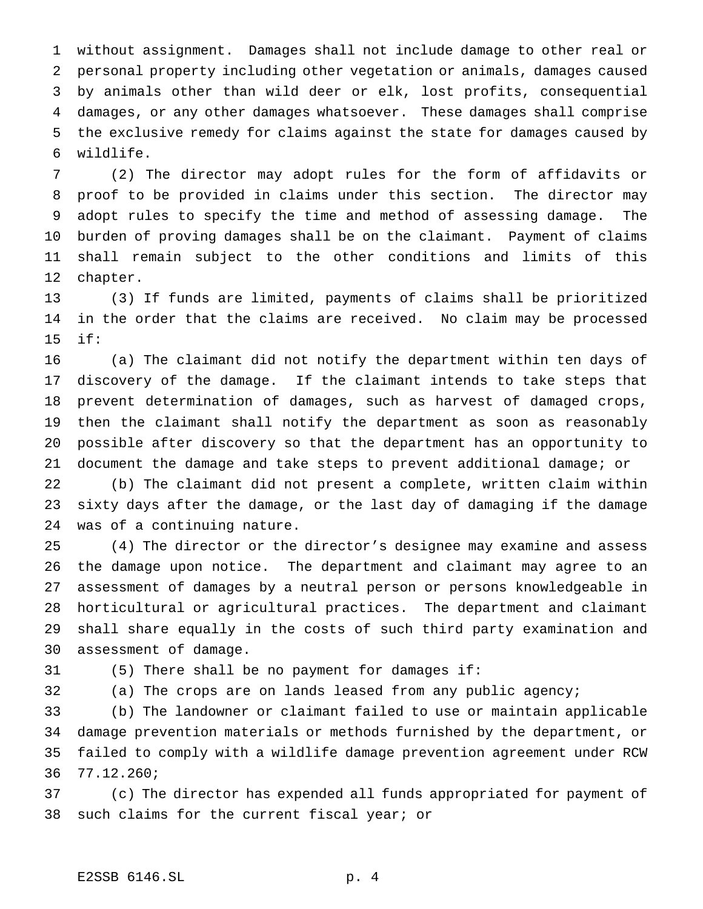without assignment. Damages shall not include damage to other real or personal property including other vegetation or animals, damages caused by animals other than wild deer or elk, lost profits, consequential damages, or any other damages whatsoever. These damages shall comprise the exclusive remedy for claims against the state for damages caused by wildlife.

 (2) The director may adopt rules for the form of affidavits or proof to be provided in claims under this section. The director may adopt rules to specify the time and method of assessing damage. The burden of proving damages shall be on the claimant. Payment of claims shall remain subject to the other conditions and limits of this chapter.

 (3) If funds are limited, payments of claims shall be prioritized in the order that the claims are received. No claim may be processed if:

 (a) The claimant did not notify the department within ten days of discovery of the damage. If the claimant intends to take steps that prevent determination of damages, such as harvest of damaged crops, then the claimant shall notify the department as soon as reasonably possible after discovery so that the department has an opportunity to document the damage and take steps to prevent additional damage; or

 (b) The claimant did not present a complete, written claim within sixty days after the damage, or the last day of damaging if the damage was of a continuing nature.

 (4) The director or the director's designee may examine and assess the damage upon notice. The department and claimant may agree to an assessment of damages by a neutral person or persons knowledgeable in horticultural or agricultural practices. The department and claimant shall share equally in the costs of such third party examination and assessment of damage.

(5) There shall be no payment for damages if:

(a) The crops are on lands leased from any public agency;

 (b) The landowner or claimant failed to use or maintain applicable damage prevention materials or methods furnished by the department, or failed to comply with a wildlife damage prevention agreement under RCW 77.12.260;

 (c) The director has expended all funds appropriated for payment of such claims for the current fiscal year; or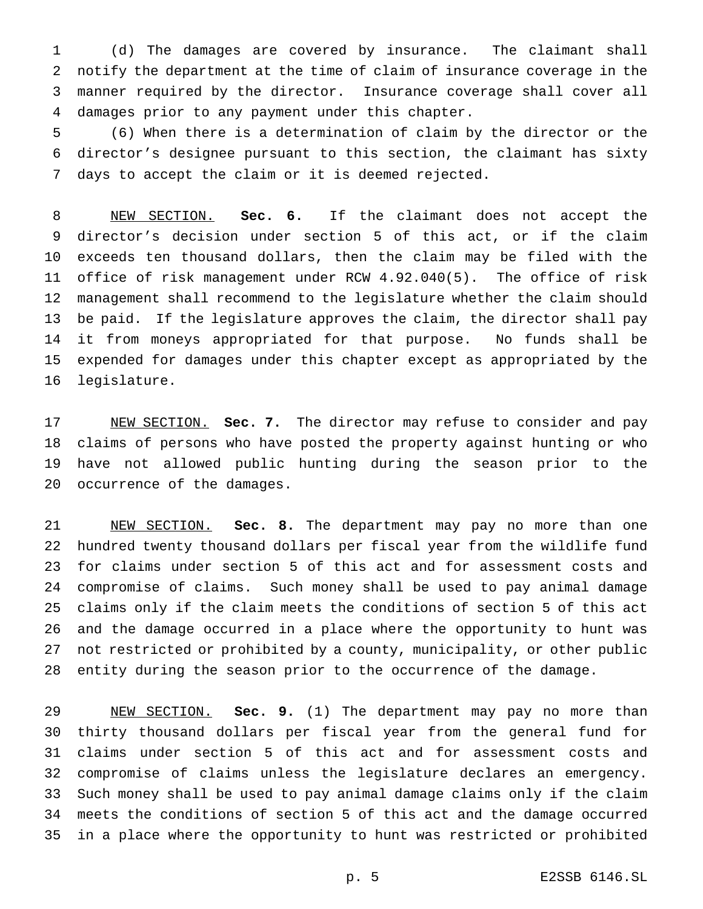(d) The damages are covered by insurance. The claimant shall notify the department at the time of claim of insurance coverage in the manner required by the director. Insurance coverage shall cover all damages prior to any payment under this chapter.

 (6) When there is a determination of claim by the director or the director's designee pursuant to this section, the claimant has sixty days to accept the claim or it is deemed rejected.

 NEW SECTION. **Sec. 6.** If the claimant does not accept the director's decision under section 5 of this act, or if the claim exceeds ten thousand dollars, then the claim may be filed with the office of risk management under RCW 4.92.040(5). The office of risk management shall recommend to the legislature whether the claim should be paid. If the legislature approves the claim, the director shall pay it from moneys appropriated for that purpose. No funds shall be expended for damages under this chapter except as appropriated by the legislature.

 NEW SECTION. **Sec. 7.** The director may refuse to consider and pay claims of persons who have posted the property against hunting or who have not allowed public hunting during the season prior to the occurrence of the damages.

 NEW SECTION. **Sec. 8.** The department may pay no more than one hundred twenty thousand dollars per fiscal year from the wildlife fund for claims under section 5 of this act and for assessment costs and compromise of claims. Such money shall be used to pay animal damage claims only if the claim meets the conditions of section 5 of this act and the damage occurred in a place where the opportunity to hunt was not restricted or prohibited by a county, municipality, or other public entity during the season prior to the occurrence of the damage.

 NEW SECTION. **Sec. 9.** (1) The department may pay no more than thirty thousand dollars per fiscal year from the general fund for claims under section 5 of this act and for assessment costs and compromise of claims unless the legislature declares an emergency. Such money shall be used to pay animal damage claims only if the claim meets the conditions of section 5 of this act and the damage occurred in a place where the opportunity to hunt was restricted or prohibited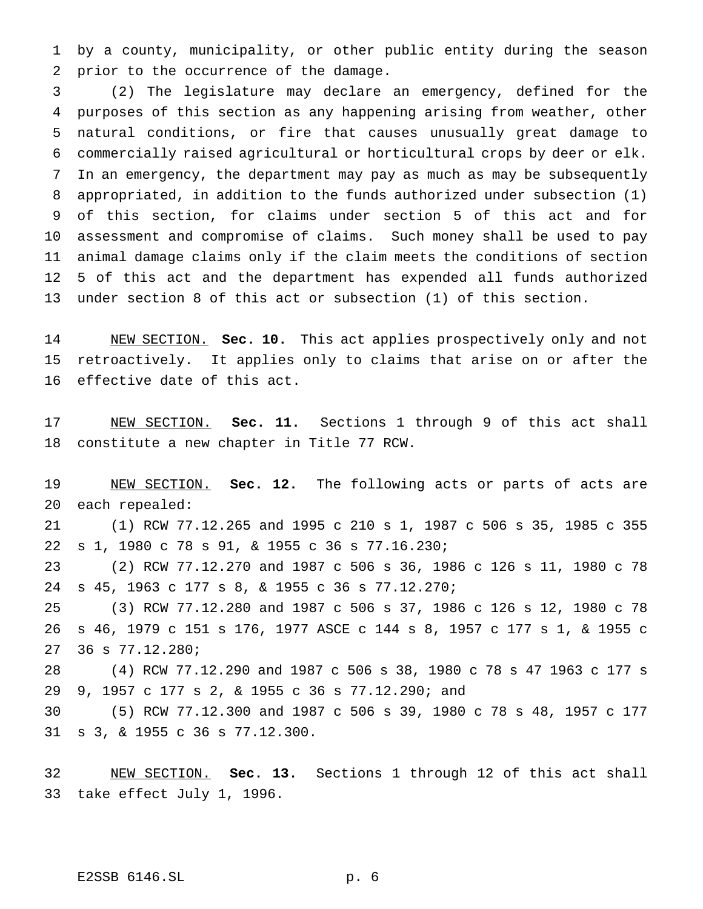by a county, municipality, or other public entity during the season prior to the occurrence of the damage.

 (2) The legislature may declare an emergency, defined for the purposes of this section as any happening arising from weather, other natural conditions, or fire that causes unusually great damage to commercially raised agricultural or horticultural crops by deer or elk. In an emergency, the department may pay as much as may be subsequently appropriated, in addition to the funds authorized under subsection (1) of this section, for claims under section 5 of this act and for assessment and compromise of claims. Such money shall be used to pay animal damage claims only if the claim meets the conditions of section 5 of this act and the department has expended all funds authorized under section 8 of this act or subsection (1) of this section.

 NEW SECTION. **Sec. 10.** This act applies prospectively only and not retroactively. It applies only to claims that arise on or after the effective date of this act.

 NEW SECTION. **Sec. 11.** Sections 1 through 9 of this act shall constitute a new chapter in Title 77 RCW.

 NEW SECTION. **Sec. 12.** The following acts or parts of acts are each repealed:

 (1) RCW 77.12.265 and 1995 c 210 s 1, 1987 c 506 s 35, 1985 c 355 s 1, 1980 c 78 s 91, & 1955 c 36 s 77.16.230;

 (2) RCW 77.12.270 and 1987 c 506 s 36, 1986 c 126 s 11, 1980 c 78 s 45, 1963 c 177 s 8, & 1955 c 36 s 77.12.270;

 (3) RCW 77.12.280 and 1987 c 506 s 37, 1986 c 126 s 12, 1980 c 78 s 46, 1979 c 151 s 176, 1977 ASCE c 144 s 8, 1957 c 177 s 1, & 1955 c 36 s 77.12.280;

 (4) RCW 77.12.290 and 1987 c 506 s 38, 1980 c 78 s 47 1963 c 177 s 9, 1957 c 177 s 2, & 1955 c 36 s 77.12.290; and

 (5) RCW 77.12.300 and 1987 c 506 s 39, 1980 c 78 s 48, 1957 c 177 s 3, & 1955 c 36 s 77.12.300.

 NEW SECTION. **Sec. 13.** Sections 1 through 12 of this act shall take effect July 1, 1996.